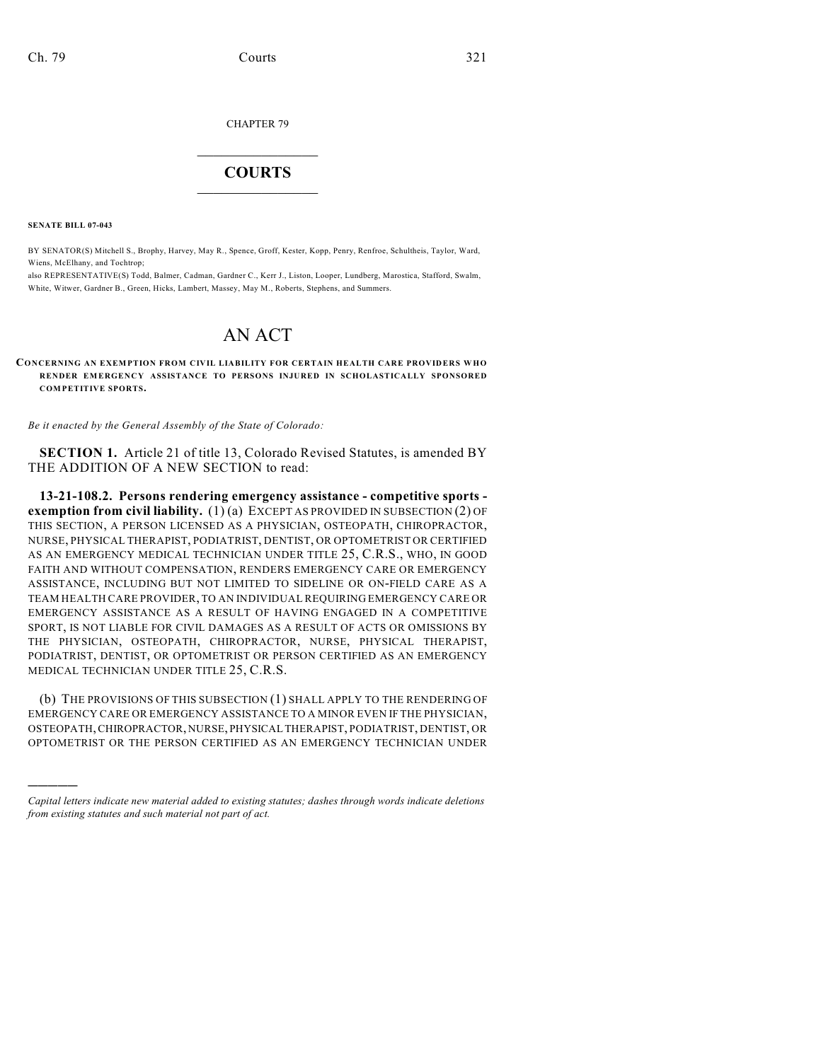CHAPTER 79

## $\overline{\phantom{a}}$  . The set of the set of the set of the set of the set of the set of the set of the set of the set of the set of the set of the set of the set of the set of the set of the set of the set of the set of the set o **COURTS**  $\_$

**SENATE BILL 07-043**

)))))

BY SENATOR(S) Mitchell S., Brophy, Harvey, May R., Spence, Groff, Kester, Kopp, Penry, Renfroe, Schultheis, Taylor, Ward, Wiens, McElhany, and Tochtrop;

also REPRESENTATIVE(S) Todd, Balmer, Cadman, Gardner C., Kerr J., Liston, Looper, Lundberg, Marostica, Stafford, Swalm, White, Witwer, Gardner B., Green, Hicks, Lambert, Massey, May M., Roberts, Stephens, and Summers.

## AN ACT

**CO NCERNING AN EXEMPTION FROM CIVIL LIABILITY FOR CERTAIN HEALTH CARE PROVID ER S WH O RENDER EMERGENCY ASSISTANCE TO PERSONS INJURED IN SCHOLASTICALLY SPONSORED COMPETITIVE SPORTS.**

*Be it enacted by the General Assembly of the State of Colorado:*

**SECTION 1.** Article 21 of title 13, Colorado Revised Statutes, is amended BY THE ADDITION OF A NEW SECTION to read:

**13-21-108.2. Persons rendering emergency assistance - competitive sports exemption from civil liability.** (1) (a) EXCEPT AS PROVIDED IN SUBSECTION (2) OF THIS SECTION, A PERSON LICENSED AS A PHYSICIAN, OSTEOPATH, CHIROPRACTOR, NURSE, PHYSICAL THERAPIST, PODIATRIST, DENTIST, OR OPTOMETRIST OR CERTIFIED AS AN EMERGENCY MEDICAL TECHNICIAN UNDER TITLE 25, C.R.S., WHO, IN GOOD FAITH AND WITHOUT COMPENSATION, RENDERS EMERGENCY CARE OR EMERGENCY ASSISTANCE, INCLUDING BUT NOT LIMITED TO SIDELINE OR ON-FIELD CARE AS A TEAM HEALTH CARE PROVIDER, TO AN INDIVIDUAL REQUIRING EMERGENCY CARE OR EMERGENCY ASSISTANCE AS A RESULT OF HAVING ENGAGED IN A COMPETITIVE SPORT, IS NOT LIABLE FOR CIVIL DAMAGES AS A RESULT OF ACTS OR OMISSIONS BY THE PHYSICIAN, OSTEOPATH, CHIROPRACTOR, NURSE, PHYSICAL THERAPIST, PODIATRIST, DENTIST, OR OPTOMETRIST OR PERSON CERTIFIED AS AN EMERGENCY MEDICAL TECHNICIAN UNDER TITLE 25, C.R.S.

(b) THE PROVISIONS OF THIS SUBSECTION (1) SHALL APPLY TO THE RENDERING OF EMERGENCY CARE OR EMERGENCY ASSISTANCE TO A MINOR EVEN IF THE PHYSICIAN, OSTEOPATH, CHIROPRACTOR, NURSE, PHYSICAL THERAPIST, PODIATRIST, DENTIST, OR OPTOMETRIST OR THE PERSON CERTIFIED AS AN EMERGENCY TECHNICIAN UNDER

*Capital letters indicate new material added to existing statutes; dashes through words indicate deletions from existing statutes and such material not part of act.*